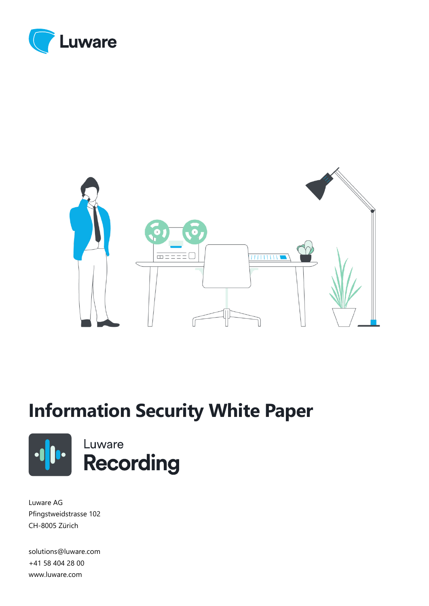



# **Information Security White Paper**





Luware AG Pfingstweidstrasse 102 CH-8005 Zürich

solutions@luware.com +41 58 404 28 00 www.luware.com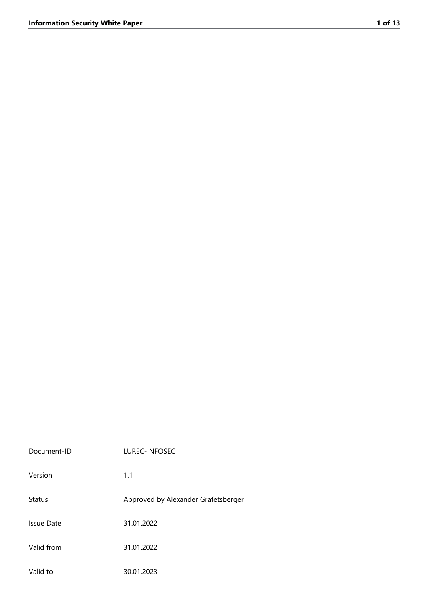| Document-ID   | LUREC-INFOSEC                       |
|---------------|-------------------------------------|
| Version       | 1.1                                 |
| <b>Status</b> | Approved by Alexander Grafetsberger |
| Issue Date    | 31.01.2022                          |
| Valid from    | 31.01.2022                          |
| Valid to      | 30.01.2023                          |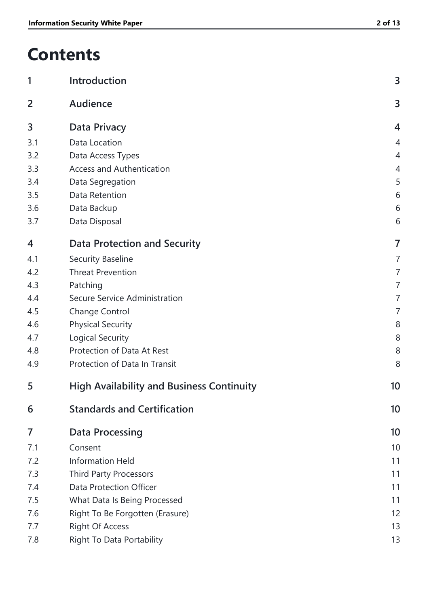# **Contents**

| 1   | Introduction                                     | 3              |
|-----|--------------------------------------------------|----------------|
| 2   | Audience                                         | 3              |
| 3   | <b>Data Privacy</b>                              | $\overline{4}$ |
| 3.1 | Data Location                                    | $\overline{4}$ |
| 3.2 | Data Access Types                                | $\overline{4}$ |
| 3.3 | <b>Access and Authentication</b>                 | $\overline{4}$ |
| 3.4 | Data Segregation                                 | 5              |
| 3.5 | Data Retention                                   | 6              |
| 3.6 | Data Backup                                      | 6              |
| 3.7 | Data Disposal                                    | 6              |
| 4   | <b>Data Protection and Security</b>              | 7              |
| 4.1 | <b>Security Baseline</b>                         | $\overline{7}$ |
| 4.2 | <b>Threat Prevention</b>                         | $\overline{7}$ |
| 4.3 | Patching                                         | $\overline{7}$ |
| 4.4 | Secure Service Administration                    | 7              |
| 4.5 | <b>Change Control</b>                            | 7              |
| 4.6 | <b>Physical Security</b>                         | 8              |
| 4.7 | Logical Security                                 | 8              |
| 4.8 | Protection of Data At Rest                       | 8              |
| 4.9 | Protection of Data In Transit                    | 8              |
| 5   | <b>High Availability and Business Continuity</b> | 10             |
| 6   | <b>Standards and Certification</b>               | 10             |
| 7   | <b>Data Processing</b>                           | 10             |
| 7.1 | Consent                                          | 10             |
| 7.2 | <b>Information Held</b>                          | 11             |
| 7.3 | <b>Third Party Processors</b>                    | 11             |
| 7.4 | Data Protection Officer                          | 11             |
| 7.5 | What Data Is Being Processed                     | 11             |
| 7.6 | Right To Be Forgotten (Erasure)                  | 12             |
| 7.7 | <b>Right Of Access</b>                           | 13             |
| 7.8 | Right To Data Portability                        | 13             |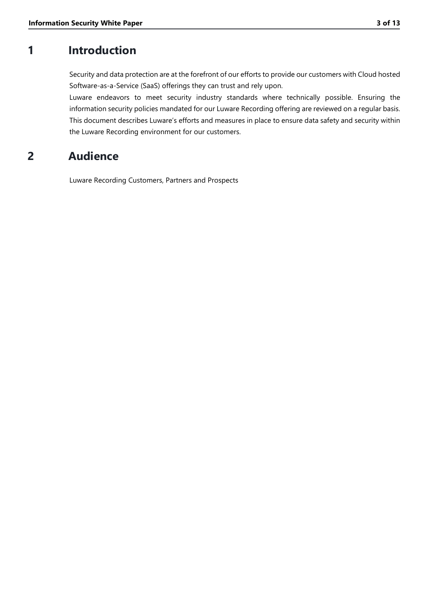# **1 Introduction**

<span id="page-3-0"></span>Security and data protection are at the forefront of our efforts to provide our customers with Cloud hosted Software-as-a-Service (SaaS) offerings they can trust and rely upon.

Luware endeavors to meet security industry standards where technically possible. Ensuring the information security policies mandated for our Luware Recording offering are reviewed on a regular basis. This document describes Luware's efforts and measures in place to ensure data safety and security within the Luware Recording environment for our customers.

# **2 Audience**

<span id="page-3-1"></span>Luware Recording Customers, Partners and Prospects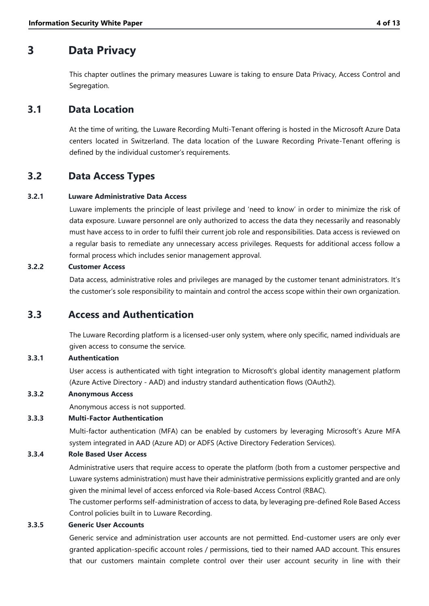# **3 Data Privacy**

<span id="page-4-0"></span>This chapter outlines the primary measures Luware is taking to ensure Data Privacy, Access Control and Segregation.

# **3.1 Data Location**

<span id="page-4-1"></span>At the time of writing, the Luware Recording Multi-Tenant offering is hosted in the Microsoft Azure Data centers located in Switzerland. The data location of the Luware Recording Private-Tenant offering is defined by the individual customer's requirements.

# **3.2 Data Access Types**

### **3.2.1 Luware Administrative Data Access**

<span id="page-4-2"></span>Luware implements the principle of least privilege and 'need to know' in order to minimize the risk of data exposure. Luware personnel are only authorized to access the data they necessarily and reasonably must have access to in order to fulfil their current job role and responsibilities. Data access is reviewed on a regular basis to remediate any unnecessary access privileges. Requests for additional access follow a formal process which includes senior management approval.

### **3.2.2 Customer Access**

Data access, administrative roles and privileges are managed by the customer tenant administrators. It's the customer's sole responsibility to maintain and control the access scope within their own organization.

# **3.3 Access and Authentication**

<span id="page-4-3"></span>The Luware Recording platform is a licensed-user only system, where only specific, named individuals are given access to consume the service.

### **3.3.1 Authentication**

User access is authenticated with tight integration to Microsoft's global identity management platform (Azure Active Directory - AAD) and industry standard authentication flows (OAuth2).

### **3.3.2 Anonymous Access**

Anonymous access is not supported.

### **3.3.3 Multi-Factor Authentication**

Multi-factor authentication (MFA) can be enabled by customers by leveraging Microsoft's Azure MFA system integrated in AAD (Azure AD) or ADFS (Active Directory Federation Services).

### **3.3.4 Role Based User Access**

Administrative users that require access to operate the platform (both from a customer perspective and Luware systems administration) must have their administrative permissions explicitly granted and are only given the minimal level of access enforced via Role-based Access Control (RBAC).

The customer performs self-administration of access to data, by leveraging pre-defined Role Based Access Control policies built in to Luware Recording.

### **3.3.5 Generic User Accounts**

Generic service and administration user accounts are not permitted. End-customer users are only ever granted application-specific account roles / permissions, tied to their named AAD account. This ensures that our customers maintain complete control over their user account security in line with their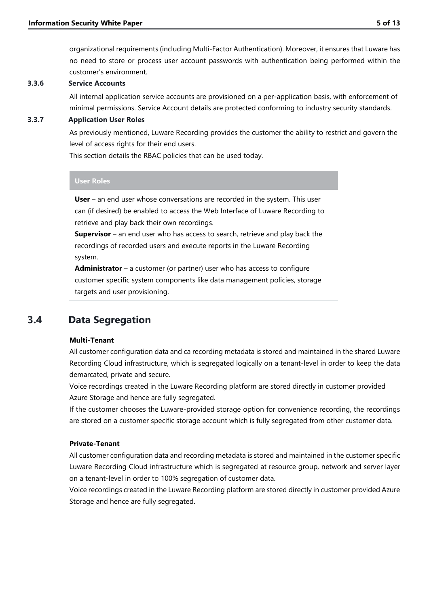organizational requirements (including Multi-Factor Authentication). Moreover, it ensures that Luware has no need to store or process user account passwords with authentication being performed within the customer's environment.

#### **3.3.6 Service Accounts**

All internal application service accounts are provisioned on a per-application basis, with enforcement of minimal permissions. Service Account details are protected conforming to industry security standards.

#### **3.3.7 Application User Roles**

As previously mentioned, Luware Recording provides the customer the ability to restrict and govern the level of access rights for their end users.

This section details the RBAC policies that can be used today.

#### **User Roles**

**User** – an end user whose conversations are recorded in the system. This user can (if desired) be enabled to access the Web Interface of Luware Recording to retrieve and play back their own recordings.

**Supervisor** – an end user who has access to search, retrieve and play back the recordings of recorded users and execute reports in the Luware Recording system.

**Administrator** – a customer (or partner) user who has access to configure customer specific system components like data management policies, storage targets and user provisioning.

### **3.4 Data Segregation**

#### <span id="page-5-0"></span>**Multi-Tenant**

All customer configuration data and ca recording metadata is stored and maintained in the shared Luware Recording Cloud infrastructure, which is segregated logically on a tenant-level in order to keep the data demarcated, private and secure.

Voice recordings created in the Luware Recording platform are stored directly in customer provided Azure Storage and hence are fully segregated.

If the customer chooses the Luware-provided storage option for convenience recording, the recordings are stored on a customer specific storage account which is fully segregated from other customer data.

#### **Private-Tenant**

All customer configuration data and recording metadata is stored and maintained in the customer specific Luware Recording Cloud infrastructure which is segregated at resource group, network and server layer on a tenant-level in order to 100% segregation of customer data.

Voice recordings created in the Luware Recording platform are stored directly in customer provided Azure Storage and hence are fully segregated.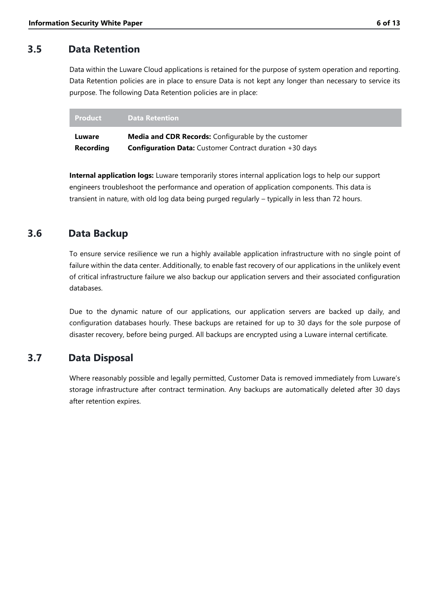# **3.5 Data Retention**

<span id="page-6-0"></span>Data within the Luware Cloud applications is retained for the purpose of system operation and reporting. Data Retention policies are in place to ensure Data is not kept any longer than necessary to service its purpose. The following Data Retention policies are in place:

| Product   | <b>Data Retention</b>                                          |
|-----------|----------------------------------------------------------------|
| Luware    | <b>Media and CDR Records:</b> Configurable by the customer     |
| Recording | <b>Configuration Data:</b> Customer Contract duration +30 days |

**Internal application logs:** Luware temporarily stores internal application logs to help our support engineers troubleshoot the performance and operation of application components. This data is transient in nature, with old log data being purged regularly – typically in less than 72 hours.

# **3.6 Data Backup**

<span id="page-6-1"></span>To ensure service resilience we run a highly available application infrastructure with no single point of failure within the data center. Additionally, to enable fast recovery of our applications in the unlikely event of critical infrastructure failure we also backup our application servers and their associated configuration databases.

Due to the dynamic nature of our applications, our application servers are backed up daily, and configuration databases hourly. These backups are retained for up to 30 days for the sole purpose of disaster recovery, before being purged. All backups are encrypted using a Luware internal certificate.

# **3.7 Data Disposal**

<span id="page-6-2"></span>Where reasonably possible and legally permitted, Customer Data is removed immediately from Luware's storage infrastructure after contract termination. Any backups are automatically deleted after 30 days after retention expires.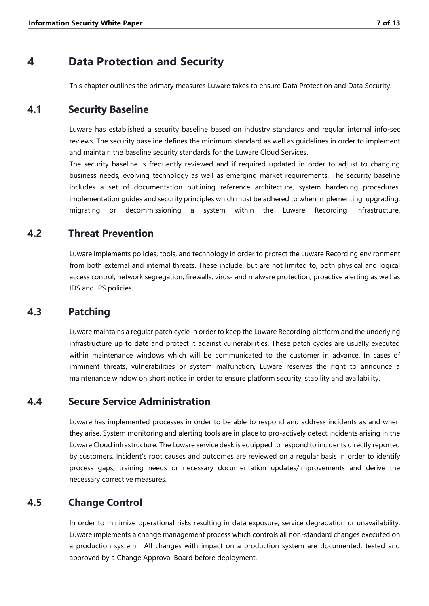# **4 Data Protection and Security**

<span id="page-7-1"></span><span id="page-7-0"></span>This chapter outlines the primary measures Luware takes to ensure Data Protection and Data Security.

### **4.1 Security Baseline**

Luware has established a security baseline based on industry standards and regular internal info-sec reviews. The security baseline defines the minimum standard as well as guidelines in order to implement and maintain the baseline security standards for the Luware Cloud Services.

The security baseline is frequently reviewed and if required updated in order to adjust to changing business needs, evolving technology as well as emerging market requirements. The security baseline includes a set of documentation outlining reference architecture, system hardening procedures, implementation guides and security principles which must be adhered to when implementing, upgrading, migrating or decommissioning a system within the Luware Recording infrastructure.

### **4.2 Threat Prevention**

<span id="page-7-2"></span>Luware implements policies, tools, and technology in order to protect the Luware Recording environment from both external and internal threats. These include, but are not limited to, both physical and logical access control, network segregation, firewalls, virus- and malware protection, proactive alerting as well as IDS and IPS policies.

### **4.3 Patching**

<span id="page-7-3"></span>Luware maintains a regular patch cycle in order to keep the Luware Recording platform and the underlying infrastructure up to date and protect it against vulnerabilities. These patch cycles are usually executed within maintenance windows which will be communicated to the customer in advance. In cases of imminent threats, vulnerabilities or system malfunction, Luware reserves the right to announce a maintenance window on short notice in order to ensure platform security, stability and availability.

### **4.4 Secure Service Administration**

<span id="page-7-4"></span>Luware has implemented processes in order to be able to respond and address incidents as and when they arise. System monitoring and alerting tools are in place to pro-actively detect incidents arising in the Luware Cloud infrastructure. The Luware service desk is equipped to respond to incidents directly reported by customers. Incident's root causes and outcomes are reviewed on a regular basis in order to identify process gaps, training needs or necessary documentation updates/improvements and derive the necessary corrective measures.

# **4.5 Change Control**

<span id="page-7-5"></span>In order to minimize operational risks resulting in data exposure, service degradation or unavailability, Luware implements a change management process which controls all non-standard changes executed on a production system. All changes with impact on a production system are documented, tested and approved by a Change Approval Board before deployment.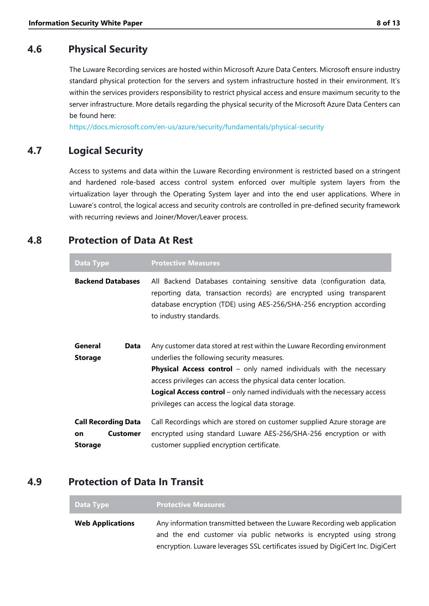# **4.6 Physical Security**

<span id="page-8-0"></span>The Luware Recording services are hosted within Microsoft Azure Data Centers. Microsoft ensure industry standard physical protection for the servers and system infrastructure hosted in their environment. It's within the services providers responsibility to restrict physical access and ensure maximum security to the server infrastructure. More details regarding the physical security of the Microsoft Azure Data Centers can be found here:

<span id="page-8-1"></span><https://docs.microsoft.com/en-us/azure/security/fundamentals/physical-security>

# **4.7 Logical Security**

Access to systems and data within the Luware Recording environment is restricted based on a stringent and hardened role-based access control system enforced over multiple system layers from the virtualization layer through the Operating System layer and into the end user applications. Where in Luware's control, the logical access and security controls are controlled in pre-defined security framework with recurring reviews and Joiner/Mover/Leaver process.

# **4.8 Protection of Data At Rest**

<span id="page-8-2"></span>

| <b>Data Type</b>                                                             | <b>Protective Measures</b>                                                                                                                                                                                                                                                                                                                                                                                     |
|------------------------------------------------------------------------------|----------------------------------------------------------------------------------------------------------------------------------------------------------------------------------------------------------------------------------------------------------------------------------------------------------------------------------------------------------------------------------------------------------------|
| <b>Backend Databases</b>                                                     | All Backend Databases containing sensitive data (configuration data,<br>reporting data, transaction records) are encrypted using transparent<br>database encryption (TDE) using AES-256/SHA-256 encryption according<br>to industry standards.                                                                                                                                                                 |
| General<br>Data<br><b>Storage</b>                                            | Any customer data stored at rest within the Luware Recording environment<br>underlies the following security measures.<br><b>Physical Access control</b> – only named individuals with the necessary<br>access privileges can access the physical data center location.<br><b>Logical Access control</b> – only named individuals with the necessary access<br>privileges can access the logical data storage. |
| <b>Call Recording Data</b><br><b>Customer</b><br><b>on</b><br><b>Storage</b> | Call Recordings which are stored on customer supplied Azure storage are<br>encrypted using standard Luware AES-256/SHA-256 encryption or with<br>customer supplied encryption certificate.                                                                                                                                                                                                                     |

# **4.9 Protection of Data In Transit**

<span id="page-8-3"></span>

| Data Type               | <b>Protective Measures</b>                                                     |
|-------------------------|--------------------------------------------------------------------------------|
| <b>Web Applications</b> | Any information transmitted between the Luware Recording web application       |
|                         | and the end customer via public networks is encrypted using strong             |
|                         | encryption. Luware leverages SSL certificates issued by DigiCert Inc. DigiCert |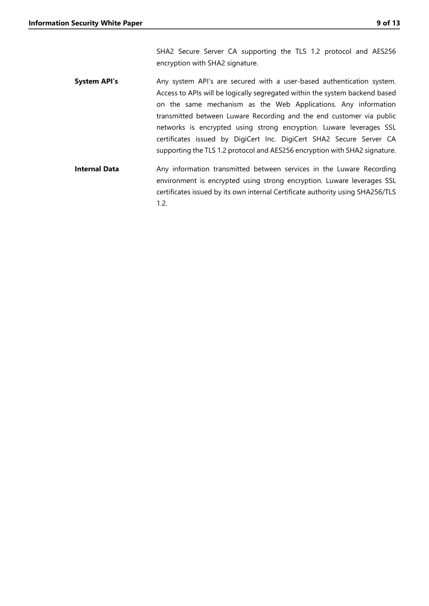SHA2 Secure Server CA supporting the TLS 1.2 protocol and AES256 encryption with SHA2 signature.

- **System API's** Any system API's are secured with a user-based authentication system. Access to APIs will be logically segregated within the system backend based on the same mechanism as the Web Applications. Any information transmitted between Luware Recording and the end customer via public networks is encrypted using strong encryption. Luware leverages SSL certificates issued by DigiCert Inc. DigiCert SHA2 Secure Server CA supporting the TLS 1.2 protocol and AES256 encryption with SHA2 signature.
- **Internal Data** Any information transmitted between services in the Luware Recording environment is encrypted using strong encryption. Luware leverages SSL certificates issued by its own internal Certificate authority using SHA256/TLS 1.2.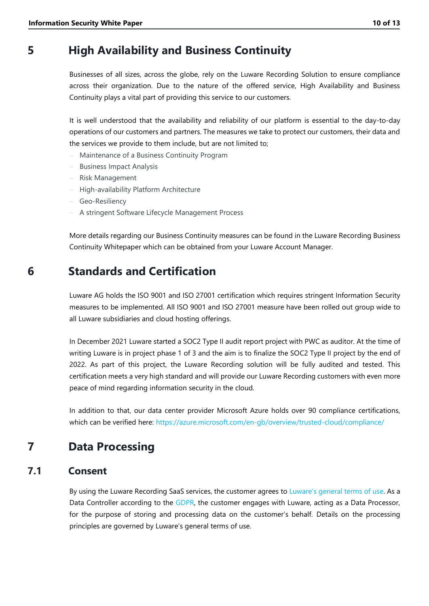# **5 High Availability and Business Continuity**

<span id="page-10-0"></span>Businesses of all sizes, across the globe, rely on the Luware Recording Solution to ensure compliance across their organization. Due to the nature of the offered service, High Availability and Business Continuity plays a vital part of providing this service to our customers.

It is well understood that the availability and reliability of our platform is essential to the day-to-day operations of our customers and partners. The measures we take to protect our customers, their data and the services we provide to them include, but are not limited to;

- ‒ Maintenance of a Business Continuity Program
- ‒ Business Impact Analysis
- ‒ Risk Management
- ‒ High-availability Platform Architecture
- ‒ Geo-Resiliency
- ‒ A stringent Software Lifecycle Management Process

More details regarding our Business Continuity measures can be found in the Luware Recording Business Continuity Whitepaper which can be obtained from your Luware Account Manager.

# **6 Standards and Certification**

<span id="page-10-1"></span>Luware AG holds the ISO 9001 and ISO 27001 certification which requires stringent Information Security measures to be implemented. All ISO 9001 and ISO 27001 measure have been rolled out group wide to all Luware subsidiaries and cloud hosting offerings.

In December 2021 Luware started a SOC2 Type II audit report project with PWC as auditor. At the time of writing Luware is in project phase 1 of 3 and the aim is to finalize the SOC2 Type II project by the end of 2022. As part of this project, the Luware Recording solution will be fully audited and tested. This certification meets a very high standard and will provide our Luware Recording customers with even more peace of mind regarding information security in the cloud.

<span id="page-10-2"></span>In addition to that, our data center provider Microsoft Azure holds over 90 compliance certifications, which can be verified here: https://azure.microsoft.com/en-gb/overview/trusted-cloud/compliance/

# **7 Data Processing**

### **7.1 Consent**

<span id="page-10-3"></span>By using the Luware Recording SaaS services, the customer agrees to [Luware's general terms of use](https://luware.com/en/agreements/saas/). As a Data Controller according to the [GDPR,](https://gdpr-info.eu/) the customer engages with Luware, acting as a Data Processor, for the purpose of storing and processing data on the customer's behalf. Details on the processing principles are governed by Luware's general terms of use.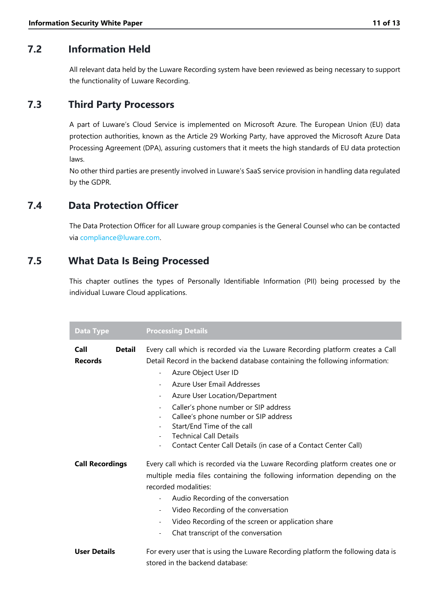# **7.2 Information Held**

<span id="page-11-0"></span>All relevant data held by the Luware Recording system have been reviewed as being necessary to support the functionality of Luware Recording.

# **7.3 Third Party Processors**

<span id="page-11-1"></span>A part of Luware's Cloud Service is implemented on Microsoft Azure. The European Union (EU) data protection authorities, known as the Article 29 Working Party, have approved the Microsoft Azure Data Processing Agreement (DPA), assuring customers that it meets the high standards of EU data protection laws.

No other third parties are presently involved in Luware's SaaS service provision in handling data regulated by the GDPR.

# **7.4 Data Protection Officer**

<span id="page-11-2"></span>The Data Protection Officer for all Luware group companies is the General Counsel who can be contacted via [compliance@luware.com.](mailto:compliance@luware.com)

# **7.5 What Data Is Being Processed**

<span id="page-11-3"></span>This chapter outlines the types of Personally Identifiable Information (PII) being processed by the individual Luware Cloud applications.

| <b>Data Type</b>                        | <b>Processing Details</b>                                                                                                                                                                                                                                                                                                                                                                                                                                                                                           |
|-----------------------------------------|---------------------------------------------------------------------------------------------------------------------------------------------------------------------------------------------------------------------------------------------------------------------------------------------------------------------------------------------------------------------------------------------------------------------------------------------------------------------------------------------------------------------|
| Call<br><b>Detail</b><br><b>Records</b> | Every call which is recorded via the Luware Recording platform creates a Call<br>Detail Record in the backend database containing the following information:<br>Azure Object User ID<br>$\blacksquare$<br>Azure User Email Addresses<br>Azure User Location/Department<br>$\overline{\phantom{a}}$<br>Caller's phone number or SIP address<br>Callee's phone number or SIP address<br>Start/End Time of the call<br><b>Technical Call Details</b><br>Contact Center Call Details (in case of a Contact Center Call) |
| <b>Call Recordings</b>                  | Every call which is recorded via the Luware Recording platform creates one or<br>multiple media files containing the following information depending on the<br>recorded modalities:<br>Audio Recording of the conversation<br>$\overline{\phantom{a}}$<br>Video Recording of the conversation<br>Video Recording of the screen or application share<br>$\overline{\phantom{a}}$<br>Chat transcript of the conversation                                                                                              |
| <b>User Details</b>                     | For every user that is using the Luware Recording platform the following data is<br>stored in the backend database:                                                                                                                                                                                                                                                                                                                                                                                                 |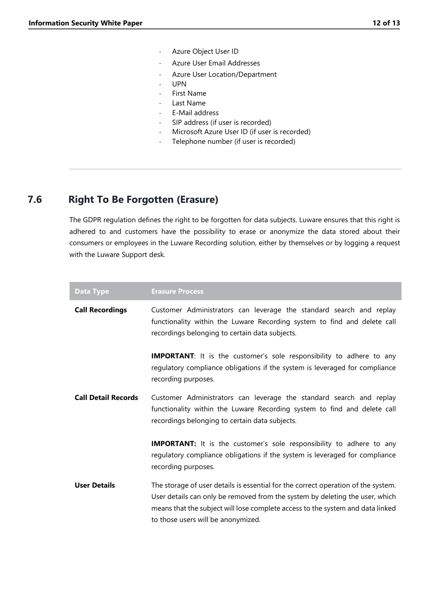- Azure Object User ID
- Azure User Email Addresses
- Azure User Location/Department
- UPN
- First Name
- Last Name
- E-Mail address
- SIP address (if user is recorded)
- Microsoft Azure User ID (if user is recorded)
- Telephone number (if user is recorded)

### **7.6 Right To Be Forgotten (Erasure)**

<span id="page-12-0"></span>The GDPR regulation defines the right to be forgotten for data subjects. Luware ensures that this right is adhered to and customers have the possibility to erase or anonymize the data stored about their consumers or employees in the Luware Recording solution, either by themselves or by logging a request with the Luware Support desk.

| <b>Data Type</b>           | <b>Erasure Process</b>                                                                                                                                                                                                                                                                    |
|----------------------------|-------------------------------------------------------------------------------------------------------------------------------------------------------------------------------------------------------------------------------------------------------------------------------------------|
| <b>Call Recordings</b>     | Customer Administrators can leverage the standard search and replay<br>functionality within the Luware Recording system to find and delete call<br>recordings belonging to certain data subjects.                                                                                         |
|                            | <b>IMPORTANT:</b> It is the customer's sole responsibility to adhere to any<br>regulatory compliance obligations if the system is leveraged for compliance<br>recording purposes.                                                                                                         |
| <b>Call Detail Records</b> | Customer Administrators can leverage the standard search and replay<br>functionality within the Luware Recording system to find and delete call<br>recordings belonging to certain data subjects.                                                                                         |
|                            | <b>IMPORTANT:</b> It is the customer's sole responsibility to adhere to any<br>regulatory compliance obligations if the system is leveraged for compliance<br>recording purposes.                                                                                                         |
| <b>User Details</b>        | The storage of user details is essential for the correct operation of the system.<br>User details can only be removed from the system by deleting the user, which<br>means that the subject will lose complete access to the system and data linked<br>to those users will be anonymized. |